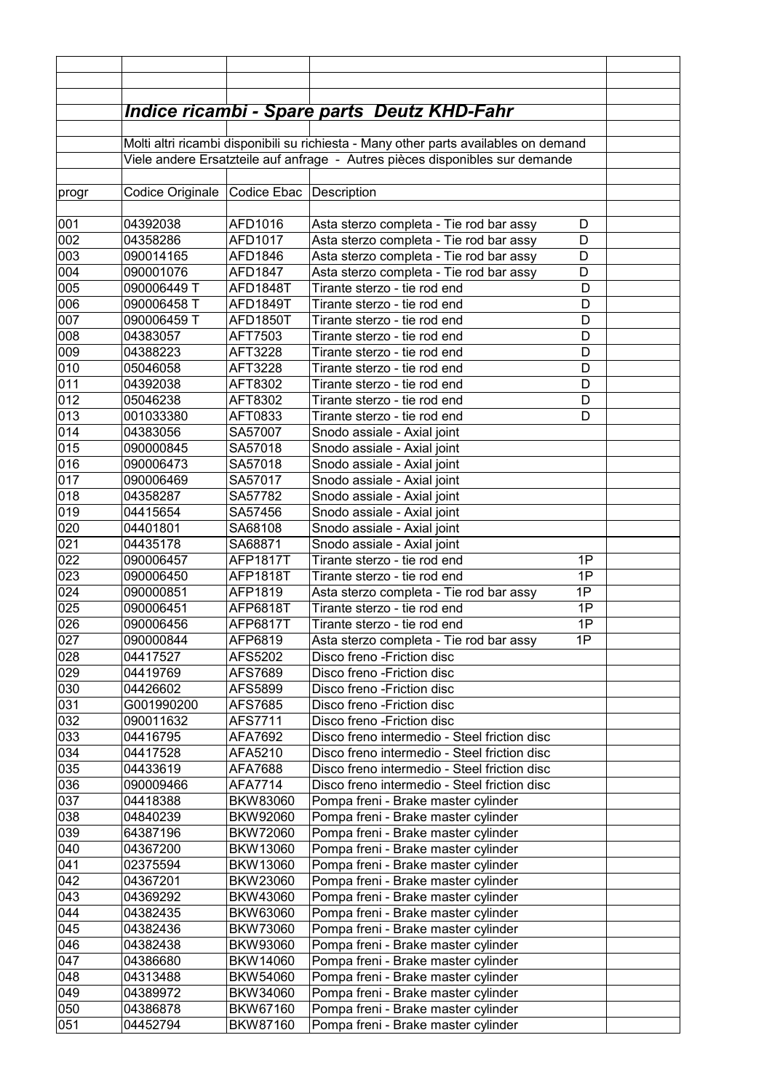|                 |                                                                                      |                         | <b>Indice ricambi - Spare parts Deutz KHD-Fahr</b>         |  |  |  |
|-----------------|--------------------------------------------------------------------------------------|-------------------------|------------------------------------------------------------|--|--|--|
|                 |                                                                                      |                         |                                                            |  |  |  |
|                 | Molti altri ricambi disponibili su richiesta - Many other parts availables on demand |                         |                                                            |  |  |  |
|                 | Viele andere Ersatzteile auf anfrage - Autres pièces disponibles sur demande         |                         |                                                            |  |  |  |
|                 | Codice Originale                                                                     | Codice Ebac Description |                                                            |  |  |  |
| progr           |                                                                                      |                         |                                                            |  |  |  |
| 001             | 04392038                                                                             | AFD1016                 | Asta sterzo completa - Tie rod bar assy<br>D               |  |  |  |
| 002             | 04358286                                                                             | AFD1017                 | Asta sterzo completa - Tie rod bar assy<br>D               |  |  |  |
| 003             | 090014165                                                                            | AFD1846                 | Asta sterzo completa - Tie rod bar assy<br>D               |  |  |  |
| 004             | 090001076                                                                            | AFD1847                 | Asta sterzo completa - Tie rod bar assy<br>D               |  |  |  |
| 0 <sub>05</sub> | 090006449 T                                                                          | AFD1848T                | Tirante sterzo - tie rod end<br>D                          |  |  |  |
| 006             | 090006458 T                                                                          | AFD1849T                | Tirante sterzo - tie rod end<br>D                          |  |  |  |
| 007             | 090006459 T                                                                          | AFD1850T                | Tirante sterzo - tie rod end<br>D                          |  |  |  |
| 008             | 04383057                                                                             | AFT7503                 | D<br>Tirante sterzo - tie rod end                          |  |  |  |
| 009             | 04388223                                                                             | AFT3228                 | D<br>Tirante sterzo - tie rod end                          |  |  |  |
| 010             | 05046058                                                                             | AFT3228                 | D<br>Tirante sterzo - tie rod end                          |  |  |  |
| 011             | 04392038                                                                             | AFT8302                 | Tirante sterzo - tie rod end<br>D                          |  |  |  |
| 012             | 05046238                                                                             | AFT8302                 | D<br>Tirante sterzo - tie rod end                          |  |  |  |
| 013             | 001033380                                                                            | AFT0833                 | Tirante sterzo - tie rod end<br>D                          |  |  |  |
| 014             | 04383056                                                                             | SA57007                 | Snodo assiale - Axial joint                                |  |  |  |
| 015             | 090000845                                                                            | SA57018                 | Snodo assiale - Axial joint                                |  |  |  |
| 016             | 090006473                                                                            | SA57018                 | Snodo assiale - Axial joint                                |  |  |  |
| 017             | 090006469                                                                            | SA57017                 | Snodo assiale - Axial joint                                |  |  |  |
| 018             | 04358287                                                                             | SA57782                 | Snodo assiale - Axial joint                                |  |  |  |
| 019             | 04415654                                                                             | SA57456                 | Snodo assiale - Axial joint                                |  |  |  |
| 020             | 04401801                                                                             | SA68108                 | Snodo assiale - Axial joint                                |  |  |  |
| 021             | 04435178                                                                             | SA68871                 | Snodo assiale - Axial joint                                |  |  |  |
| 022             | 090006457                                                                            | <b>AFP1817T</b>         | Tirante sterzo - tie rod end<br>1P                         |  |  |  |
| 023             | 090006450                                                                            | <b>AFP1818T</b>         | 1P<br>Tirante sterzo - tie rod end                         |  |  |  |
| 024             | 090000851                                                                            | AFP1819                 | 1P<br>Asta sterzo completa - Tie rod bar assy              |  |  |  |
| 025             | 090006451                                                                            | AFP6818T                | 1P<br>Tirante sterzo - tie rod end                         |  |  |  |
| 026             | 090006456                                                                            | <b>AFP6817T</b>         | 1P<br>Tirante sterzo - tie rod end                         |  |  |  |
| 027             | 090000844                                                                            | AFP6819                 | Asta sterzo completa - Tie rod bar assy<br>1P              |  |  |  |
| 028             | 04417527                                                                             | AFS5202                 | Disco freno - Friction disc                                |  |  |  |
| 029             | 04419769                                                                             | AFS7689                 | Disco freno - Friction disc                                |  |  |  |
| 030<br>031      | 04426602<br>G001990200                                                               | AFS5899<br>AFS7685      | Disco freno - Friction disc<br>Disco freno - Friction disc |  |  |  |
| 032             | 090011632                                                                            | AFS7711                 | Disco freno - Friction disc                                |  |  |  |
| 033             | 04416795                                                                             | AFA7692                 | Disco freno intermedio - Steel friction disc               |  |  |  |
| 034             | 04417528                                                                             | AFA5210                 | Disco freno intermedio - Steel friction disc               |  |  |  |
| 035             | 04433619                                                                             | AFA7688                 | Disco freno intermedio - Steel friction disc               |  |  |  |
| 036             | 090009466                                                                            | AFA7714                 | Disco freno intermedio - Steel friction disc               |  |  |  |
| 037             | 04418388                                                                             | BKW83060                | Pompa freni - Brake master cylinder                        |  |  |  |
| 038             | 04840239                                                                             | BKW92060                | Pompa freni - Brake master cylinder                        |  |  |  |
| 039             | 64387196                                                                             | <b>BKW72060</b>         | Pompa freni - Brake master cylinder                        |  |  |  |
| 040             | 04367200                                                                             | BKW13060                | Pompa freni - Brake master cylinder                        |  |  |  |
| 041             | 02375594                                                                             | BKW13060                | Pompa freni - Brake master cylinder                        |  |  |  |
| 042             | 04367201                                                                             | BKW23060                | Pompa freni - Brake master cylinder                        |  |  |  |
| 043             | 04369292                                                                             | BKW43060                | Pompa freni - Brake master cylinder                        |  |  |  |
| 044             | 04382435                                                                             | BKW63060                | Pompa freni - Brake master cylinder                        |  |  |  |
| 045             | 04382436                                                                             | <b>BKW73060</b>         | Pompa freni - Brake master cylinder                        |  |  |  |
| 046             | 04382438                                                                             | BKW93060                | Pompa freni - Brake master cylinder                        |  |  |  |
| 047             | 04386680                                                                             | BKW14060                | Pompa freni - Brake master cylinder                        |  |  |  |
| 048             | 04313488                                                                             | BKW54060                | Pompa freni - Brake master cylinder                        |  |  |  |
| 049             | 04389972                                                                             | BKW34060                | Pompa freni - Brake master cylinder                        |  |  |  |
| 050             | 04386878                                                                             | BKW67160                | Pompa freni - Brake master cylinder                        |  |  |  |
| 051             | 04452794                                                                             | BKW87160                | Pompa freni - Brake master cylinder                        |  |  |  |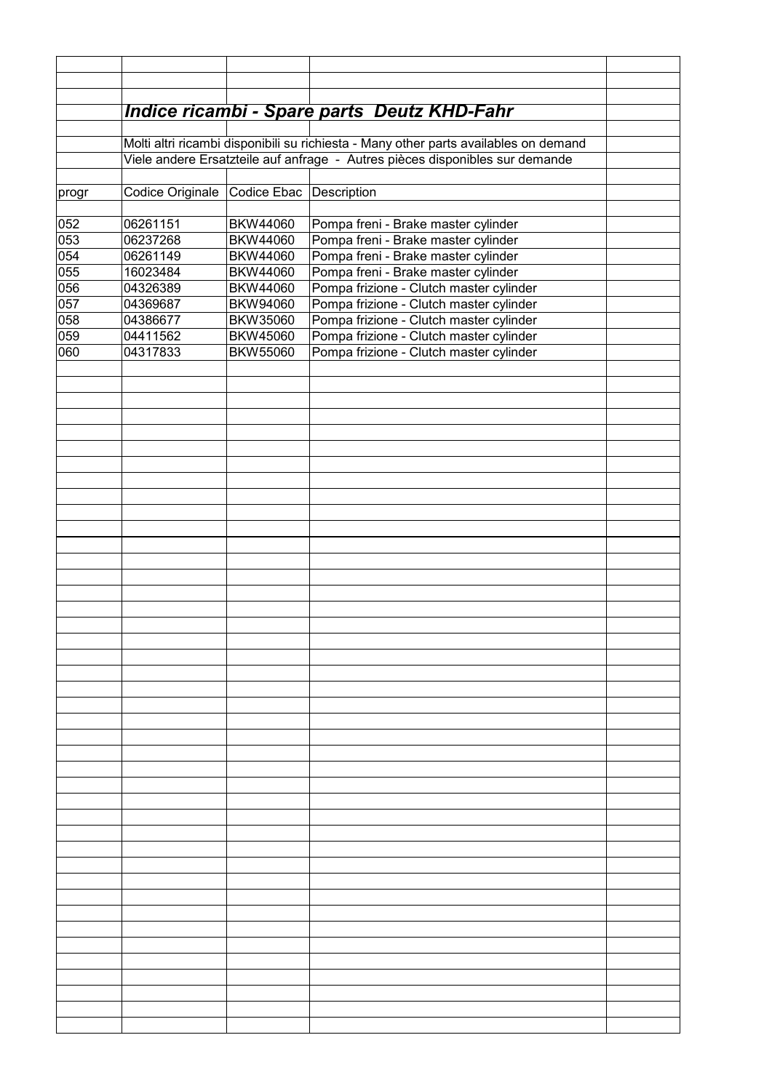|                  |                                                                                                                                                                      |                         | Indice ricambi - Spare parts Deutz KHD-Fahr |  |  |  |
|------------------|----------------------------------------------------------------------------------------------------------------------------------------------------------------------|-------------------------|---------------------------------------------|--|--|--|
|                  |                                                                                                                                                                      |                         |                                             |  |  |  |
|                  | Molti altri ricambi disponibili su richiesta - Many other parts availables on demand<br>Viele andere Ersatzteile auf anfrage - Autres pièces disponibles sur demande |                         |                                             |  |  |  |
|                  |                                                                                                                                                                      |                         |                                             |  |  |  |
| progr            | Codice Originale                                                                                                                                                     | Codice Ebac Description |                                             |  |  |  |
| 052              | 06261151                                                                                                                                                             | BKW44060                | Pompa freni - Brake master cylinder         |  |  |  |
| $\overline{053}$ | 06237268                                                                                                                                                             | BKW44060                | Pompa freni - Brake master cylinder         |  |  |  |
| 054              | 06261149                                                                                                                                                             | BKW44060                | Pompa freni - Brake master cylinder         |  |  |  |
| 055              | 16023484                                                                                                                                                             | BKW44060                | Pompa freni - Brake master cylinder         |  |  |  |
| 056              | 04326389                                                                                                                                                             | BKW44060                | Pompa frizione - Clutch master cylinder     |  |  |  |
| 057              | 04369687                                                                                                                                                             | BKW94060                | Pompa frizione - Clutch master cylinder     |  |  |  |
| 058              | 04386677                                                                                                                                                             | BKW35060                | Pompa frizione - Clutch master cylinder     |  |  |  |
| 059              | 04411562                                                                                                                                                             | BKW45060                | Pompa frizione - Clutch master cylinder     |  |  |  |
| 060              | 04317833                                                                                                                                                             | BKW55060                | Pompa frizione - Clutch master cylinder     |  |  |  |
|                  |                                                                                                                                                                      |                         |                                             |  |  |  |
|                  |                                                                                                                                                                      |                         |                                             |  |  |  |
|                  |                                                                                                                                                                      |                         |                                             |  |  |  |
|                  |                                                                                                                                                                      |                         |                                             |  |  |  |
|                  |                                                                                                                                                                      |                         |                                             |  |  |  |
|                  |                                                                                                                                                                      |                         |                                             |  |  |  |
|                  |                                                                                                                                                                      |                         |                                             |  |  |  |
|                  |                                                                                                                                                                      |                         |                                             |  |  |  |
|                  |                                                                                                                                                                      |                         |                                             |  |  |  |
|                  |                                                                                                                                                                      |                         |                                             |  |  |  |
|                  |                                                                                                                                                                      |                         |                                             |  |  |  |
|                  |                                                                                                                                                                      |                         |                                             |  |  |  |
|                  |                                                                                                                                                                      |                         |                                             |  |  |  |
|                  |                                                                                                                                                                      |                         |                                             |  |  |  |
|                  |                                                                                                                                                                      |                         |                                             |  |  |  |
|                  |                                                                                                                                                                      |                         |                                             |  |  |  |
|                  |                                                                                                                                                                      |                         |                                             |  |  |  |
|                  |                                                                                                                                                                      |                         |                                             |  |  |  |
|                  |                                                                                                                                                                      |                         |                                             |  |  |  |
|                  |                                                                                                                                                                      |                         |                                             |  |  |  |
|                  |                                                                                                                                                                      |                         |                                             |  |  |  |
|                  |                                                                                                                                                                      |                         |                                             |  |  |  |
|                  |                                                                                                                                                                      |                         |                                             |  |  |  |
|                  |                                                                                                                                                                      |                         |                                             |  |  |  |
|                  |                                                                                                                                                                      |                         |                                             |  |  |  |
|                  |                                                                                                                                                                      |                         |                                             |  |  |  |
|                  |                                                                                                                                                                      |                         |                                             |  |  |  |
|                  |                                                                                                                                                                      |                         |                                             |  |  |  |
|                  |                                                                                                                                                                      |                         |                                             |  |  |  |
|                  |                                                                                                                                                                      |                         |                                             |  |  |  |
|                  |                                                                                                                                                                      |                         |                                             |  |  |  |
|                  |                                                                                                                                                                      |                         |                                             |  |  |  |
|                  |                                                                                                                                                                      |                         |                                             |  |  |  |
|                  |                                                                                                                                                                      |                         |                                             |  |  |  |
|                  |                                                                                                                                                                      |                         |                                             |  |  |  |
|                  |                                                                                                                                                                      |                         |                                             |  |  |  |
|                  |                                                                                                                                                                      |                         |                                             |  |  |  |
|                  |                                                                                                                                                                      |                         |                                             |  |  |  |
|                  |                                                                                                                                                                      |                         |                                             |  |  |  |
|                  |                                                                                                                                                                      |                         |                                             |  |  |  |
|                  |                                                                                                                                                                      |                         |                                             |  |  |  |
|                  |                                                                                                                                                                      |                         |                                             |  |  |  |